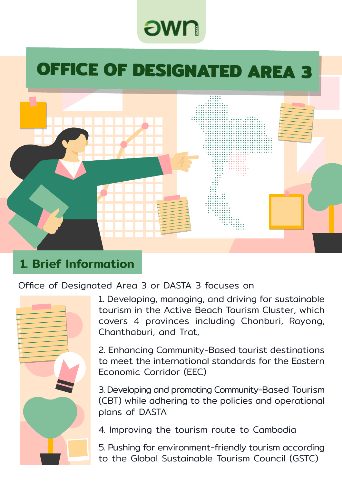# awn

# **OFFICE OF DESIGNATED AREA 3**

# 1. Brief Information

### Office of Designated Area 3 or DASTA 3 focuses on



1. Developing, managing, and driving for sustainable tourism in the Active Beach Tourism Cluster, which covers 4 provinces including Chonburi, Rayong, Chanthaburi, and Trat,

2. Enhancing Community-Based tourist destinations to meet the international standards for the Eastern Economic Corridor (EEC)

3. Developing and promoting Community-Based Tourism (CBT) while adhering to the policies and operational plans of DASTA

4. Improving the tourism route to Cambodia

5. Pushing for environment-friendly tourism according to the Global Sustainable Tourism Council (GSTC)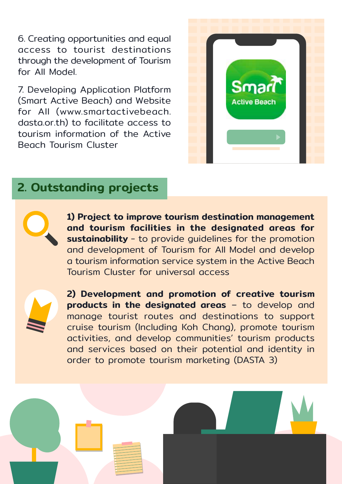6. Creating opportunities and equal access to tourist destinations through the development of Tourism for All Model.

7. Developing Application Platform (Smart Active Beach) and Website for All (www.smartactivebeach. dasta.or.th) to facilitate access to tourism information of the Active Beach Tourism Cluster



### 2. Outstanding projects



1) Project to improve tourism destination management and tourism facilities in the designated areas for sustainability - to provide quidelines for the promotion and development of Tourism for All Model and develop a tourism information service system in the Active Beach Tourism Cluster for universal access



2) Development and promotion of creative tourism products in the designated areas – to develop and manage tourist routes and destinations to support cruise tourism (Including Koh Chang), promote tourism activities, and develop communities' tourism products and services based on their potential and identity in order to promote tourism marketing (DASTA 3)